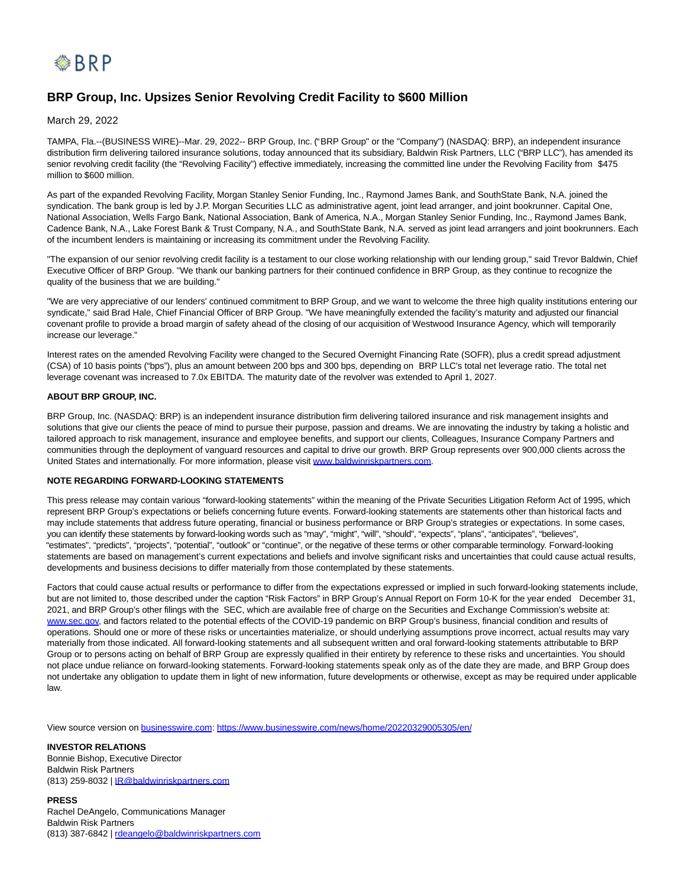

## **BRP Group, Inc. Upsizes Senior Revolving Credit Facility to \$600 Million**

March 29, 2022

TAMPA, Fla.--(BUSINESS WIRE)--Mar. 29, 2022-- BRP Group, Inc. ("BRP Group" or the "Company") (NASDAQ: BRP), an independent insurance distribution firm delivering tailored insurance solutions, today announced that its subsidiary, Baldwin Risk Partners, LLC ("BRP LLC"), has amended its senior revolving credit facility (the "Revolving Facility") effective immediately, increasing the committed line under the Revolving Facility from \$475 million to \$600 million.

As part of the expanded Revolving Facility, Morgan Stanley Senior Funding, Inc., Raymond James Bank, and SouthState Bank, N.A. joined the syndication. The bank group is led by J.P. Morgan Securities LLC as administrative agent, joint lead arranger, and joint bookrunner. Capital One, National Association, Wells Fargo Bank, National Association, Bank of America, N.A., Morgan Stanley Senior Funding, Inc., Raymond James Bank, Cadence Bank, N.A., Lake Forest Bank & Trust Company, N.A., and SouthState Bank, N.A. served as joint lead arrangers and joint bookrunners. Each of the incumbent lenders is maintaining or increasing its commitment under the Revolving Facility.

"The expansion of our senior revolving credit facility is a testament to our close working relationship with our lending group," said Trevor Baldwin, Chief Executive Officer of BRP Group. "We thank our banking partners for their continued confidence in BRP Group, as they continue to recognize the quality of the business that we are building."

"We are very appreciative of our lenders' continued commitment to BRP Group, and we want to welcome the three high quality institutions entering our syndicate," said Brad Hale, Chief Financial Officer of BRP Group. "We have meaningfully extended the facility's maturity and adjusted our financial covenant profile to provide a broad margin of safety ahead of the closing of our acquisition of Westwood Insurance Agency, which will temporarily increase our leverage."

Interest rates on the amended Revolving Facility were changed to the Secured Overnight Financing Rate (SOFR), plus a credit spread adjustment (CSA) of 10 basis points ("bps"), plus an amount between 200 bps and 300 bps, depending on BRP LLC's total net leverage ratio. The total net leverage covenant was increased to 7.0x EBITDA. The maturity date of the revolver was extended to April 1, 2027.

## **ABOUT BRP GROUP, INC.**

BRP Group, Inc. (NASDAQ: BRP) is an independent insurance distribution firm delivering tailored insurance and risk management insights and solutions that give our clients the peace of mind to pursue their purpose, passion and dreams. We are innovating the industry by taking a holistic and tailored approach to risk management, insurance and employee benefits, and support our clients, Colleagues, Insurance Company Partners and communities through the deployment of vanguard resources and capital to drive our growth. BRP Group represents over 900,000 clients across the United States and internationally. For more information, please visit [www.baldwinriskpartners.com.](https://cts.businesswire.com/ct/CT?id=smartlink&url=http%3A%2F%2Fwww.baldwinriskpartners.com&esheet=52626780&newsitemid=20220329005305&lan=en-US&anchor=www.baldwinriskpartners.com&index=1&md5=d712bb00fe2fb86f9d596a7ab59a7991)

## **NOTE REGARDING FORWARD-LOOKING STATEMENTS**

This press release may contain various "forward-looking statements" within the meaning of the Private Securities Litigation Reform Act of 1995, which represent BRP Group's expectations or beliefs concerning future events. Forward-looking statements are statements other than historical facts and may include statements that address future operating, financial or business performance or BRP Group's strategies or expectations. In some cases, you can identify these statements by forward-looking words such as "may", "might", "will", "should", "expects", "plans", "anticipates", "believes", "estimates", "predicts", "projects", "potential", "outlook" or "continue", or the negative of these terms or other comparable terminology. Forward-looking statements are based on management's current expectations and beliefs and involve significant risks and uncertainties that could cause actual results, developments and business decisions to differ materially from those contemplated by these statements.

Factors that could cause actual results or performance to differ from the expectations expressed or implied in such forward-looking statements include, but are not limited to, those described under the caption "Risk Factors" in BRP Group's Annual Report on Form 10-K for the year ended December 31, 2021, and BRP Group's other filings with the SEC, which are available free of charge on the Securities and Exchange Commission's website at: [www.sec.gov,](https://cts.businesswire.com/ct/CT?id=smartlink&url=http%3A%2F%2Fwww.sec.gov&esheet=52626780&newsitemid=20220329005305&lan=en-US&anchor=www.sec.gov&index=2&md5=fbed471c0f2b7525bdcd00ecda014a3d) and factors related to the potential effects of the COVID-19 pandemic on BRP Group's business, financial condition and results of operations. Should one or more of these risks or uncertainties materialize, or should underlying assumptions prove incorrect, actual results may vary materially from those indicated. All forward-looking statements and all subsequent written and oral forward-looking statements attributable to BRP Group or to persons acting on behalf of BRP Group are expressly qualified in their entirety by reference to these risks and uncertainties. You should not place undue reliance on forward-looking statements. Forward-looking statements speak only as of the date they are made, and BRP Group does not undertake any obligation to update them in light of new information, future developments or otherwise, except as may be required under applicable law.

View source version on [businesswire.com:](http://businesswire.com/)<https://www.businesswire.com/news/home/20220329005305/en/>

**INVESTOR RELATIONS** Bonnie Bishop, Executive Director Baldwin Risk Partners (813) 259-8032 | **IR@baldwinriskpartners.com** 

**PRESS** Rachel DeAngelo, Communications Manager Baldwin Risk Partners (813) 387-6842 | [rdeangelo@baldwinriskpartners.com](mailto:rdeangelo@baldwinriskpartners.com)